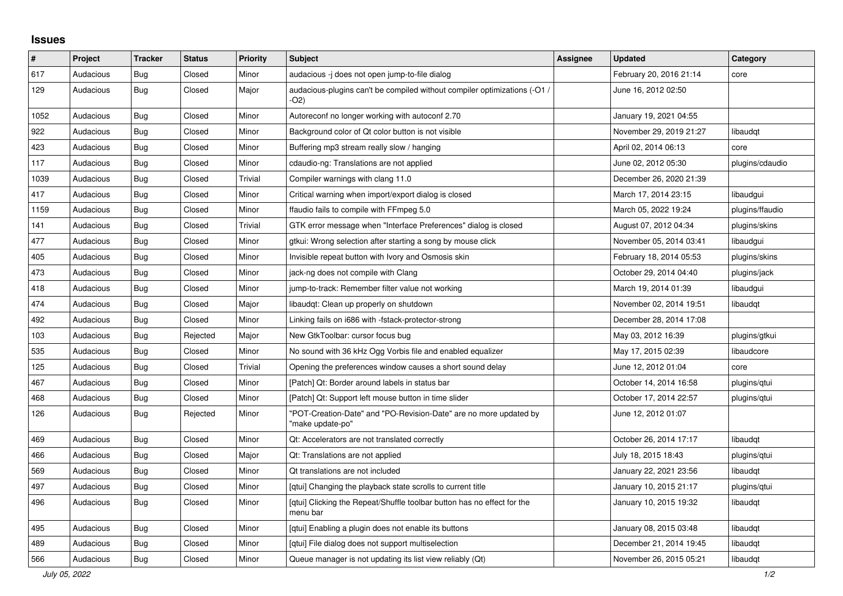## **Issues**

| #    | Project   | <b>Tracker</b> | <b>Status</b> | <b>Priority</b> | <b>Subject</b>                                                                        | Assignee | <b>Updated</b>          | Category        |
|------|-----------|----------------|---------------|-----------------|---------------------------------------------------------------------------------------|----------|-------------------------|-----------------|
| 617  | Audacious | Bug            | Closed        | Minor           | audacious -j does not open jump-to-file dialog                                        |          | February 20, 2016 21:14 | core            |
| 129  | Audacious | Bug            | Closed        | Major           | audacious-plugins can't be compiled without compiler optimizations (-O1 /<br>-O2)     |          | June 16, 2012 02:50     |                 |
| 1052 | Audacious | <b>Bug</b>     | Closed        | Minor           | Autoreconf no longer working with autoconf 2.70                                       |          | January 19, 2021 04:55  |                 |
| 922  | Audacious | Bug            | Closed        | Minor           | Background color of Qt color button is not visible                                    |          | November 29, 2019 21:27 | libaudgt        |
| 423  | Audacious | Bug            | Closed        | Minor           | Buffering mp3 stream really slow / hanging                                            |          | April 02, 2014 06:13    | core            |
| 117  | Audacious | Bug            | Closed        | Minor           | cdaudio-ng: Translations are not applied                                              |          | June 02, 2012 05:30     | plugins/cdaudio |
| 1039 | Audacious | Bug            | Closed        | Trivial         | Compiler warnings with clang 11.0                                                     |          | December 26, 2020 21:39 |                 |
| 417  | Audacious | <b>Bug</b>     | Closed        | Minor           | Critical warning when import/export dialog is closed                                  |          | March 17, 2014 23:15    | libaudgui       |
| 1159 | Audacious | Bug            | Closed        | Minor           | ffaudio fails to compile with FFmpeg 5.0                                              |          | March 05, 2022 19:24    | plugins/ffaudio |
| 141  | Audacious | <b>Bug</b>     | Closed        | Trivial         | GTK error message when "Interface Preferences" dialog is closed                       |          | August 07, 2012 04:34   | plugins/skins   |
| 477  | Audacious | Bug            | Closed        | Minor           | gtkui: Wrong selection after starting a song by mouse click                           |          | November 05, 2014 03:41 | libaudgui       |
| 405  | Audacious | <b>Bug</b>     | Closed        | Minor           | Invisible repeat button with Ivory and Osmosis skin                                   |          | February 18, 2014 05:53 | plugins/skins   |
| 473  | Audacious | <b>Bug</b>     | Closed        | Minor           | jack-ng does not compile with Clang                                                   |          | October 29, 2014 04:40  | plugins/jack    |
| 418  | Audacious | Bug            | Closed        | Minor           | jump-to-track: Remember filter value not working                                      |          | March 19, 2014 01:39    | libaudgui       |
| 474  | Audacious | Bug            | Closed        | Major           | libaudgt: Clean up properly on shutdown                                               |          | November 02, 2014 19:51 | libaudgt        |
| 492  | Audacious | Bug            | Closed        | Minor           | Linking fails on i686 with -fstack-protector-strong                                   |          | December 28, 2014 17:08 |                 |
| 103  | Audacious | Bug            | Rejected      | Major           | New GtkToolbar: cursor focus bug                                                      |          | May 03, 2012 16:39      | plugins/gtkui   |
| 535  | Audacious | Bug            | Closed        | Minor           | No sound with 36 kHz Ogg Vorbis file and enabled equalizer                            |          | May 17, 2015 02:39      | libaudcore      |
| 125  | Audacious | <b>Bug</b>     | Closed        | Trivial         | Opening the preferences window causes a short sound delay                             |          | June 12, 2012 01:04     | core            |
| 467  | Audacious | Bug            | Closed        | Minor           | [Patch] Qt: Border around labels in status bar                                        |          | October 14, 2014 16:58  | plugins/gtui    |
| 468  | Audacious | Bug            | Closed        | Minor           | [Patch] Qt: Support left mouse button in time slider                                  |          | October 17, 2014 22:57  | plugins/gtui    |
| 126  | Audacious | Bug            | Rejected      | Minor           | 'POT-Creation-Date" and "PO-Revision-Date" are no more updated by<br>'make update-po" |          | June 12, 2012 01:07     |                 |
| 469  | Audacious | Bug            | Closed        | Minor           | Qt: Accelerators are not translated correctly                                         |          | October 26, 2014 17:17  | libaudgt        |
| 466  | Audacious | Bug            | Closed        | Major           | Qt: Translations are not applied                                                      |          | July 18, 2015 18:43     | plugins/gtui    |
| 569  | Audacious | <b>Bug</b>     | Closed        | Minor           | Ot translations are not included                                                      |          | January 22, 2021 23:56  | libaudqt        |
| 497  | Audacious | <b>Bug</b>     | Closed        | Minor           | [qtui] Changing the playback state scrolls to current title                           |          | January 10, 2015 21:17  | plugins/qtui    |
| 496  | Audacious | Bug            | Closed        | Minor           | [qtui] Clicking the Repeat/Shuffle toolbar button has no effect for the<br>menu bar   |          | January 10, 2015 19:32  | libaudgt        |
| 495  | Audacious | <b>Bug</b>     | Closed        | Minor           | [qtui] Enabling a plugin does not enable its buttons                                  |          | January 08, 2015 03:48  | libaudgt        |
| 489  | Audacious | Bug            | Closed        | Minor           | [gtui] File dialog does not support multiselection                                    |          | December 21, 2014 19:45 | libaudgt        |
| 566  | Audacious | <b>Bug</b>     | Closed        | Minor           | Queue manager is not updating its list view reliably (Qt)                             |          | November 26, 2015 05:21 | libaudqt        |